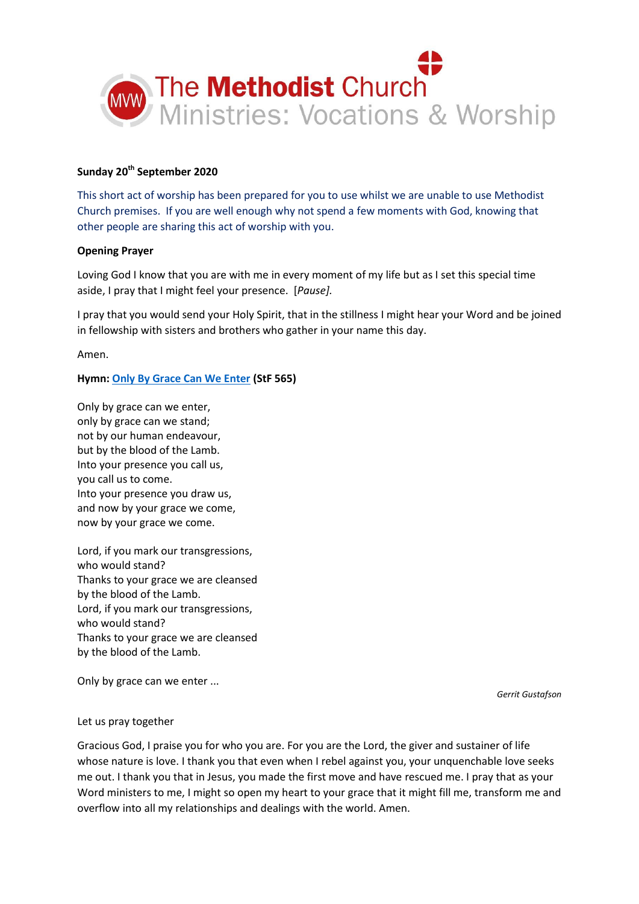

# **Sunday 20th September 2020**

This short act of worship has been prepared for you to use whilst we are unable to use Methodist Church premises. If you are well enough why not spend a few moments with God, knowing that other people are sharing this act of worship with you.

#### **Opening Prayer**

Loving God I know that you are with me in every moment of my life but as I set this special time aside, I pray that I might feel your presence. [*Pause].*

I pray that you would send your Holy Spirit, that in the stillness I might hear your Word and be joined in fellowship with sisters and brothers who gather in your name this day.

Amen.

## **Hymn[: Only By Grace Can We Enter](https://www.youtube.com/watch?v=hv72Q23lIp0) (StF 565)**

Only by grace can we enter, only by grace can we stand; not by our human endeavour, but by the blood of the Lamb. Into your presence you call us, you call us to come. Into your presence you draw us, and now by your grace we come, now by your grace we come.

Lord, if you mark our transgressions, who would stand? Thanks to your grace we are cleansed by the blood of the Lamb. Lord, if you mark our transgressions, who would stand? Thanks to your grace we are cleansed by the blood of the Lamb.

Only by grace can we enter ...

*Gerrit Gustafson*

#### Let us pray together

Gracious God, I praise you for who you are. For you are the Lord, the giver and sustainer of life whose nature is love. I thank you that even when I rebel against you, your unquenchable love seeks me out. I thank you that in Jesus, you made the first move and have rescued me. I pray that as your Word ministers to me, I might so open my heart to your grace that it might fill me, transform me and overflow into all my relationships and dealings with the world. Amen.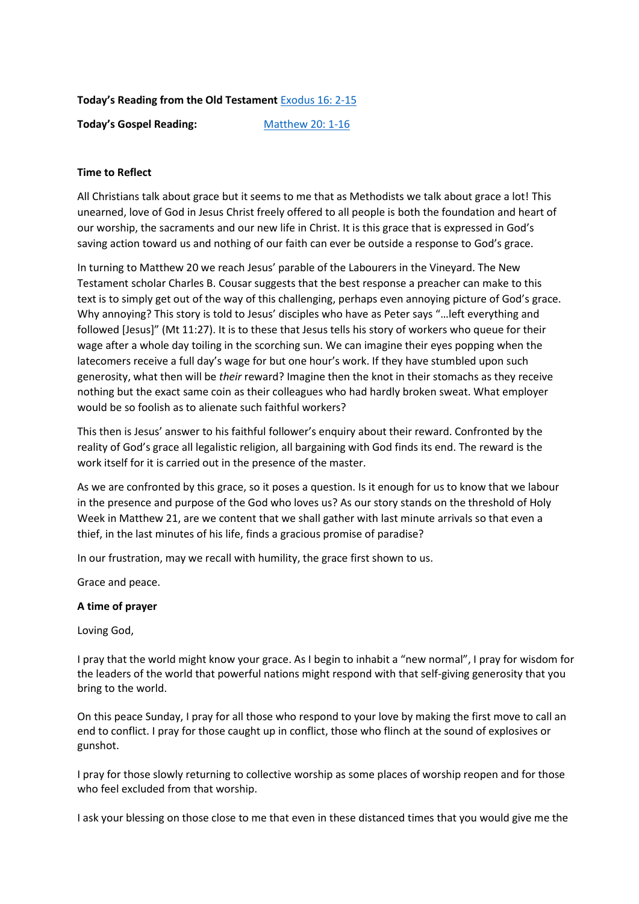# **Today's Reading from the Old Testament** [Exodus 16: 2-15](https://www.biblegateway.com/passage/?search=Exodus%2016:2-15&version=NIV)

**Today's Gospel Reading:** [Matthew 20: 1-16](https://www.biblegateway.com/passage/?search=Matthew+20%3A+1-16&version=NIV)

# **Time to Reflect**

All Christians talk about grace but it seems to me that as Methodists we talk about grace a lot! This unearned, love of God in Jesus Christ freely offered to all people is both the foundation and heart of our worship, the sacraments and our new life in Christ. It is this grace that is expressed in God's saving action toward us and nothing of our faith can ever be outside a response to God's grace.

In turning to Matthew 20 we reach Jesus' parable of the Labourers in the Vineyard. The New Testament scholar Charles B. Cousar suggests that the best response a preacher can make to this text is to simply get out of the way of this challenging, perhaps even annoying picture of God's grace. Why annoying? This story is told to Jesus' disciples who have as Peter says "…left everything and followed [Jesus]" (Mt 11:27). It is to these that Jesus tells his story of workers who queue for their wage after a whole day toiling in the scorching sun. We can imagine their eyes popping when the latecomers receive a full day's wage for but one hour's work. If they have stumbled upon such generosity, what then will be *their* reward? Imagine then the knot in their stomachs as they receive nothing but the exact same coin as their colleagues who had hardly broken sweat. What employer would be so foolish as to alienate such faithful workers?

This then is Jesus' answer to his faithful follower's enquiry about their reward. Confronted by the reality of God's grace all legalistic religion, all bargaining with God finds its end. The reward is the work itself for it is carried out in the presence of the master.

As we are confronted by this grace, so it poses a question. Is it enough for us to know that we labour in the presence and purpose of the God who loves us? As our story stands on the threshold of Holy Week in Matthew 21, are we content that we shall gather with last minute arrivals so that even a thief, in the last minutes of his life, finds a gracious promise of paradise?

In our frustration, may we recall with humility, the grace first shown to us.

Grace and peace.

## **A time of prayer**

Loving God,

I pray that the world might know your grace. As I begin to inhabit a "new normal", I pray for wisdom for the leaders of the world that powerful nations might respond with that self-giving generosity that you bring to the world.

On this peace Sunday, I pray for all those who respond to your love by making the first move to call an end to conflict. I pray for those caught up in conflict, those who flinch at the sound of explosives or gunshot.

I pray for those slowly returning to collective worship as some places of worship reopen and for those who feel excluded from that worship.

I ask your blessing on those close to me that even in these distanced times that you would give me the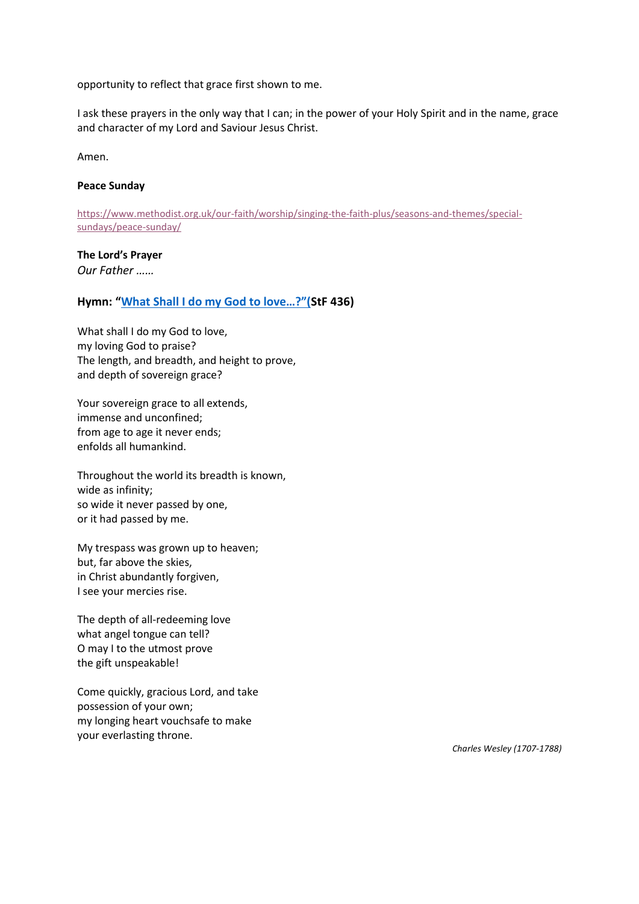opportunity to reflect that grace first shown to me.

I ask these prayers in the only way that I can; in the power of your Holy Spirit and in the name, grace and character of my Lord and Saviour Jesus Christ.

Amen.

#### **Peace Sunday**

[https://www.methodist.org.uk/our-faith/worship/singing-the-faith-plus/seasons-and-themes/special](https://www.methodist.org.uk/our-faith/worship/singing-the-faith-plus/seasons-and-themes/special-sundays/peace-sunday/)[sundays/peace-sunday/](https://www.methodist.org.uk/our-faith/worship/singing-the-faith-plus/seasons-and-themes/special-sundays/peace-sunday/)

#### **The Lord's Prayer**

*Our Father ……*

## **Hymn: ["What Shall I do my God to love…?"\(](https://www.youtube.com/watch?v=RTM3OcP5V00)StF 436)**

What shall I do my God to love, my loving God to praise? The length, and breadth, and height to prove, and depth of sovereign grace?

Your sovereign grace to all extends, immense and unconfined; from age to age it never ends; enfolds all humankind.

Throughout the world its breadth is known, wide as infinity; so wide it never passed by one, or it had passed by me.

My trespass was grown up to heaven; but, far above the skies, in Christ abundantly forgiven, I see your mercies rise.

The depth of all-redeeming love what angel tongue can tell? O may I to the utmost prove the gift unspeakable!

Come quickly, gracious Lord, and take possession of your own; my longing heart vouchsafe to make your everlasting throne.

*Charles Wesley (1707-1788)*